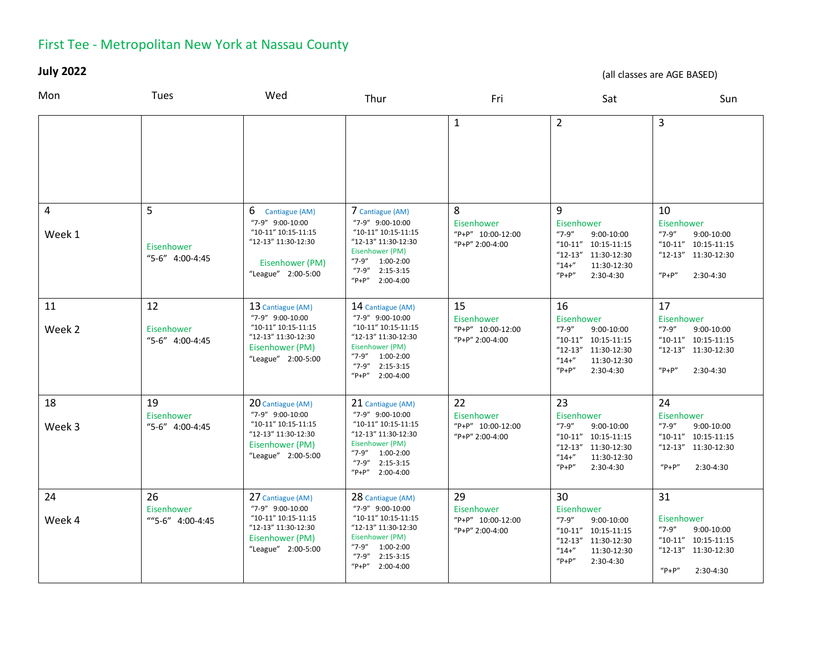## First Tee - Metropolitan New York at Nassau County

**July 2022** 

(all classes are AGE BASED)

| Mon          | Tues                                 | Wed                                                                                                                          | Thur                                                                                                                                                                    | Fri                                                      | Sat                                                                                                                                         | Sun                                                                                                                    |
|--------------|--------------------------------------|------------------------------------------------------------------------------------------------------------------------------|-------------------------------------------------------------------------------------------------------------------------------------------------------------------------|----------------------------------------------------------|---------------------------------------------------------------------------------------------------------------------------------------------|------------------------------------------------------------------------------------------------------------------------|
|              |                                      |                                                                                                                              |                                                                                                                                                                         | $\mathbf{1}$                                             | $\overline{2}$                                                                                                                              | 3                                                                                                                      |
| 4<br>Week 1  | 5<br>Eisenhower<br>"5-6" 4:00-4:45   | 6 Cantiague (AM)<br>"7-9" 9:00-10:00<br>"10-11" 10:15-11:15<br>"12-13" 11:30-12:30<br>Eisenhower (PM)<br>"League" 2:00-5:00  | 7 Cantiague (AM)<br>"7-9" 9:00-10:00<br>"10-11" 10:15-11:15<br>"12-13" 11:30-12:30<br>Eisenhower (PM)<br>"7-9" 1:00-2:00<br>$"7-9"$ 2:15-3:15<br>"P+P" 2:00-4:00        | 8<br>Eisenhower<br>"P+P" 10:00-12:00<br>"P+P" 2:00-4:00  | 9<br>Eisenhower<br>$"7-9"$<br>9:00-10:00<br>"10-11" 10:15-11:15<br>"12-13" 11:30-12:30<br>$"14+'$<br>11:30-12:30<br>$"P+P"$<br>2:30-4:30    | 10<br>Eisenhower<br>$"7-9"$<br>9:00-10:00<br>$"10-11"$ 10:15-11:15<br>"12-13" 11:30-12:30<br>$"P+P"$<br>2:30-4:30      |
| 11<br>Week 2 | 12<br>Eisenhower<br>"5-6" 4:00-4:45  | 13 Cantiague (AM)<br>"7-9" 9:00-10:00<br>"10-11" 10:15-11:15<br>"12-13" 11:30-12:30<br>Eisenhower (PM)<br>"League" 2:00-5:00 | 14 Cantiague (AM)<br>"7-9" 9:00-10:00<br>"10-11" 10:15-11:15<br>"12-13" 11:30-12:30<br>Eisenhower (PM)<br>"7-9" 1:00-2:00<br>2:15-3:15<br>"7-9"<br>2:00-4:00<br>$"P+P"$ | 15<br>Eisenhower<br>"P+P" 10:00-12:00<br>"P+P" 2:00-4:00 | 16<br>Eisenhower<br>$"7-9"$<br>9:00-10:00<br>"10-11" 10:15-11:15<br>"12-13" 11:30-12:30<br>$"14+'$<br>11:30-12:30<br>$"P+P"$<br>2:30-4:30   | 17<br>Eisenhower<br>$"7-9"$<br>9:00-10:00<br>"10-11" 10:15-11:15<br>"12-13" 11:30-12:30<br>$"P+P"$<br>2:30-4:30        |
| 18<br>Week 3 | 19<br>Eisenhower<br>"5-6" 4:00-4:45  | 20 Cantiague (AM)<br>"7-9" 9:00-10:00<br>"10-11" 10:15-11:15<br>"12-13" 11:30-12:30<br>Eisenhower (PM)<br>"League" 2:00-5:00 | 21 Cantiague (AM)<br>"7-9" 9:00-10:00<br>"10-11" 10:15-11:15<br>"12-13" 11:30-12:30<br>Eisenhower (PM)<br>"7-9" 1:00-2:00<br>$"7-9"$ 2:15-3:15<br>$"P+P"$<br>2:00-4:00  | 22<br>Eisenhower<br>"P+P" 10:00-12:00<br>"P+P" 2:00-4:00 | 23<br>Eisenhower<br>$"7-9"$<br>9:00-10:00<br>"10-11" 10:15-11:15<br>"12-13" 11:30-12:30<br>$"14+'$<br>11:30-12:30<br>$"P+P"$<br>2:30-4:30   | 24<br>Eisenhower<br>$"7-9"$<br>9:00-10:00<br>$"10-11"$ 10:15-11:15<br>$"12-13"$<br>11:30-12:30<br>$"P+P"$<br>2:30-4:30 |
| 24<br>Week 4 | 26<br>Eisenhower<br>""5-6" 4:00-4:45 | 27 Cantiague (AM)<br>"7-9" 9:00-10:00<br>"10-11" 10:15-11:15<br>"12-13" 11:30-12:30<br>Eisenhower (PM)<br>"League" 2:00-5:00 | 28 Cantiague (AM)<br>"7-9" 9:00-10:00<br>"10-11" 10:15-11:15<br>"12-13" 11:30-12:30<br>Eisenhower (PM)<br>"7-9" 1:00-2:00<br>"7-9"<br>$2:15-3:15$<br>"P+P" 2:00-4:00    | 29<br>Eisenhower<br>"P+P" 10:00-12:00<br>"P+P" 2:00-4:00 | 30<br>Eisenhower<br>$"7-9"$<br>9:00-10:00<br>$"10-11" 10:15-11:15$<br>"12-13" 11:30-12:30<br>$"14+'$<br>11:30-12:30<br>$"P+P"$<br>2:30-4:30 | 31<br>Eisenhower<br>$"7-9"$<br>9:00-10:00<br>"10-11" 10:15-11:15<br>"12-13" 11:30-12:30<br>$"P+P"$<br>2:30-4:30        |